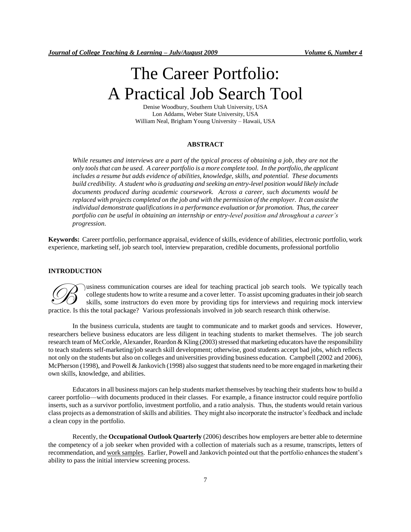# The Career Portfolio: A Practical Job Search Tool

Denise Woodbury, Southern Utah University, USA Lon Addams, Weber State University, USA William Neal, Brigham Young University – Hawaii, USA

# **ABSTRACT**

*While resumes and interviews are a part of the typical process of obtaining a job, they are not the only tools that can be used. A career portfolio is a more complete tool. In the portfolio, the applicant includes a resume but adds evidence of abilities, knowledge, skills, and potential. These documents build credibility. A student who is graduating and seeking an entry-level position would likely include documents produced during academic coursework. Across a career, such documents would be replaced with projects completed on the job and with the permission of the employer. It can assist the individual demonstrate qualifications in a performance evaluation or for promotion. Thus, the career portfolio can be useful in obtaining an internship or entry-level position and throughout a career's progression.*

**Keywords:** Career portfolio, performance appraisal, evidence of skills, evidence of abilities, electronic portfolio, work experience, marketing self, job search tool, interview preparation, credible documents, professional portfolio

#### **INTRODUCTION**

usiness communication courses are ideal for teaching practical job search tools. We typically teach college students how to write a resume and a cover letter. To assist upcoming graduates in their job search skills, some instructors do even more by providing tips for interviews and requiring mock interview professionals are ideal for teaching practical job search tools. We typed college students how to write a resume and a cover letter. To assist upcoming graduates in the skills, some instructors do even more by providing ti

In the business curricula, students are taught to communicate and to market goods and services. However, researchers believe business educators are less diligent in teaching students to market themselves. The job search research team of McCorkle, Alexander, Reardon & Kling (2003) stressed that marketing educators have the responsibility to teach students self-marketing/job search skill development; otherwise, good students accept bad jobs, which reflects not only on the students but also on colleges and universities providing business education. Campbell (2002 and 2006), McPherson (1998), and Powell & Jankovich (1998) also suggest that students need to be more engaged in marketing their own skills, knowledge, and abilities.

Educators in all business majors can help students market themselves by teaching their students how to build a career portfolio—with documents produced in their classes. For example, a finance instructor could require portfolio inserts, such as a survivor portfolio, investment portfolio, and a ratio analysis. Thus, the students would retain various class projects as a demonstration of skills and abilities. They might also incorporate the instructor's feedback and include a clean copy in the portfolio.

Recently, the **Occupational Outlook Quarterly** (2006) describes how employers are better able to determine the competency of a job seeker when provided with a collection of materials such as a resume, transcripts, letters of recommendation, and work samples. Earlier, Powell and Jankovich pointed out that the portfolio enhances the student's ability to pass the initial interview screening process.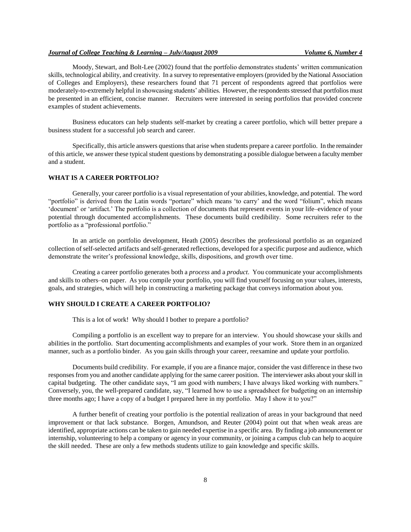#### *Journal of College Teaching & Learning – July/August 2009 Volume 6, Number 4*

Moody, Stewart, and Bolt-Lee (2002) found that the portfolio demonstrates students' written communication skills, technological ability, and creativity. In a survey to representative employers (provided by the National Association of Colleges and Employers), these researchers found that 71 percent of respondents agreed that portfolios were moderately-to-extremely helpful in showcasing students' abilities. However, the respondents stressed that portfolios must be presented in an efficient, concise manner. Recruiters were interested in seeing portfolios that provided concrete examples of student achievements.

Business educators can help students self-market by creating a career portfolio, which will better prepare a business student for a successful job search and career.

Specifically, this article answers questions that arise when students prepare a career portfolio. In the remainder of this article, we answer these typical student questions by demonstrating a possible dialogue between a faculty member and a student.

## **WHAT IS A CAREER PORTFOLIO?**

Generally, your career portfolio is a visual representation of your abilities, knowledge, and potential. The word "portfolio" is derived from the Latin words "portare" which means 'to carry' and the word "folium", which means ‗document' or ‗artifact.' The portfolio is a collection of documents that represent events in your life–evidence of your potential through documented accomplishments. These documents build credibility. Some recruiters refer to the portfolio as a "professional portfolio."

In an article on portfolio development, Heath (2005) describes the professional portfolio as an organized collection of self-selected artifacts and self-generated reflections, developed for a specific purpose and audience, which demonstrate the writer's professional knowledge, skills, dispositions, and growth over time.

Creating a career portfolio generates both a *process* and a *product*. You communicate your accomplishments and skills to others–on paper. As you compile your portfolio, you will find yourself focusing on your values, interests, goals, and strategies, which will help in constructing a marketing package that conveys information about you.

# **WHY SHOULD I CREATE A CAREER PORTFOLIO?**

This is a lot of work! Why should I bother to prepare a portfolio?

Compiling a portfolio is an excellent way to prepare for an interview. You should showcase your skills and abilities in the portfolio. Start documenting accomplishments and examples of your work. Store them in an organized manner, such as a portfolio binder. As you gain skills through your career, reexamine and update your portfolio.

Documents build credibility. For example, if you are a finance major, consider the vast difference in these two responses from you and another candidate applying for the same career position. The interviewer asks about your skill in capital budgeting. The other candidate says, "I am good with numbers; I have always liked working with numbers." Conversely, you, the well-prepared candidate, say, "I learned how to use a spreadsheet for budgeting on an internship three months ago; I have a copy of a budget I prepared here in my portfolio. May I show it to you?"

A further benefit of creating your portfolio is the potential realization of areas in your background that need improvement or that lack substance. Borgen, Amundson, and Reuter (2004) point out that when weak areas are identified, appropriate actions can be taken to gain needed expertise in a specific area. By finding a job announcement or internship, volunteering to help a company or agency in your community, or joining a campus club can help to acquire the skill needed. These are only a few methods students utilize to gain knowledge and specific skills.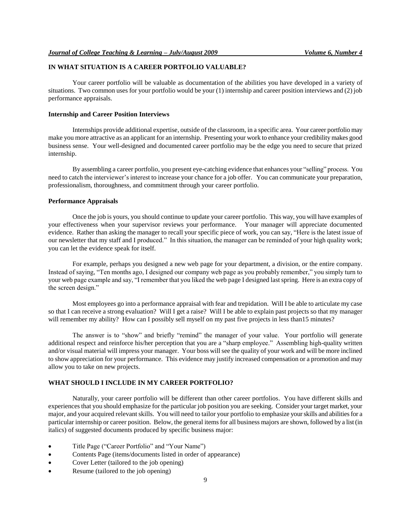# **IN WHAT SITUATION IS A CAREER PORTFOLIO VALUABLE?**

Your career portfolio will be valuable as documentation of the abilities you have developed in a variety of situations. Two common uses for your portfolio would be your (1) internship and career position interviews and (2) job performance appraisals.

#### **Internship and Career Position Interviews**

Internships provide additional expertise, outside of the classroom, in a specific area. Your career portfolio may make you more attractive as an applicant for an internship. Presenting your work to enhance your credibility makes good business sense. Your well-designed and documented career portfolio may be the edge you need to secure that prized internship.

By assembling a career portfolio, you present eye-catching evidence that enhances your "selling" process. You need to catch the interviewer's interest to increase your chance for a job offer. You can communicate your preparation, professionalism, thoroughness, and commitment through your career portfolio.

#### **Performance Appraisals**

Once the job is yours, you should continue to update your career portfolio. This way, you will have examples of your effectiveness when your supervisor reviews your performance. Your manager will appreciate documented evidence. Rather than asking the manager to recall your specific piece of work, you can say, "Here is the latest issue of our newsletter that my staff and I produced." In this situation, the manager can be reminded of your high quality work; you can let the evidence speak for itself.

For example, perhaps you designed a new web page for your department, a division, or the entire company. Instead of saying, "Ten months ago, I designed our company web page as you probably remember," you simply turn to your web page example and say, "I remember that you liked the web page I designed last spring. Here is an extra copy of the screen design."

Most employees go into a performance appraisal with fear and trepidation. Will I be able to articulate my case so that I can receive a strong evaluation? Will I get a raise? Will I be able to explain past projects so that my manager will remember my ability? How can I possibly sell myself on my past five projects in less than15 minutes?

The answer is to "show" and briefly "remind" the manager of your value. Your portfolio will generate additional respect and reinforce his/her perception that you are a "sharp employee." Assembling high-quality written and/or visual material will impress your manager. Your boss will see the quality of your work and will be more inclined to show appreciation for your performance. This evidence may justify increased compensation or a promotion and may allow you to take on new projects.

# **WHAT SHOULD I INCLUDE IN MY CAREER PORTFOLIO?**

Naturally, your career portfolio will be different than other career portfolios. You have different skills and experiences that you should emphasize for the particular job position you are seeking. Consider your target market, your major, and your acquired relevant skills. You will need to tailor your portfolio to emphasize yourskills and abilities for a particular internship or career position. Below, the general items for all business majors are shown, followed by a list (in italics) of suggested documents produced by specific business major:

- Title Page ("Career Portfolio" and "Your Name")
- Contents Page (items/documents listed in order of appearance)
- Cover Letter (tailored to the job opening)
- Resume (tailored to the job opening)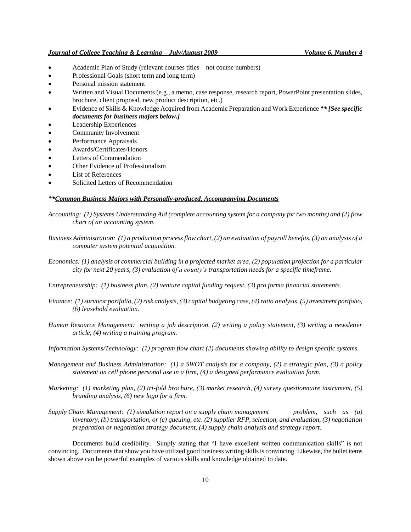- Academic Plan of Study (relevant courses titles—not course numbers)
- Professional Goals (short term and long term)
- Personal mission statement
- Written and Visual Documents (e.g., a memo, case response, research report, PowerPoint presentation slides, brochure, client proposal, new product description, etc.)
- Evidence of Skills & Knowledge Acquired from Academic Preparation and Work Experience *\*\* [See specific documents for business majors below.]*
- Leadership Experiences
- Community Involvement
- Performance Appraisals
- Awards/Certificates/Honors
- Letters of Commendation
- Other Evidence of Professionalism
- List of References
- Solicited Letters of Recommendation

#### *\*\*Common Business Majors with Personally-produced, Accompanying Documents*

- *Accounting: (1) Systems Understanding Aid (complete accounting system for a company for two months) and (2) flow chart of an accounting system.*
- *Business Administration: (1) a production process flow chart, (2) an evaluation of payroll benefits, (3) an analysis of a computer system potential acquisition.*
- *Economics: (1) analysis of commercial building in a projected market area, (2) population projection for a particular city for next 20 years, (3) evaluation of a county's transportation needs for a specific timeframe.*
- *Entrepreneurship: (1) business plan, (2) venture capital funding request, (3) pro forma financial statements.*
- *Finance: (1) survivor portfolio, (2) risk analysis, (3) capital budgeting case, (4) ratio analysis, (5) investment portfolio, (6) leasehold evaluation.*
- *Human Resource Management: writing a job description, (2) writing a policy statement, (3) writing a newsletter article, (4) writing a training program.*
- *Information Systems/Technology: (1) program flow chart (2) documents showing ability to design specific systems.*
- *Management and Business Administration: (1) a SWOT analysis for a company, (2) a strategic plan, (3) a policy statement on cell phone personal use in a firm, (4) a designed performance evaluation form.*
- *Marketing: (1) marketing plan, (2) tri-fold brochure, (3) market research, (4) survey questionnaire instrument, (5) branding analysis, (6) new logo for a firm.*
- *Supply Chain Management: (1) simulation report on a supply chain management problem, such as (a) inventory, (b) transportation, or (c) queuing, etc. (2) supplier RFP, selection, and evaluation, (3) negotiation preparation or negotiation strategy document, (4) supply chain analysis and strategy report.*

Documents build credibility. Simply stating that "I have excellent written communication skills" is not convincing. Documents that show you have utilized good business writing skills is convincing. Likewise, the bullet items shown above can be powerful examples of various skills and knowledge obtained to date.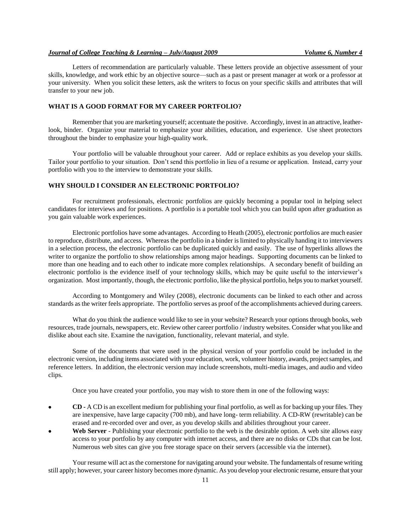#### *Journal of College Teaching & Learning – July/August 2009 Volume 6, Number 4*

Letters of recommendation are particularly valuable. These letters provide an objective assessment of your skills, knowledge, and work ethic by an objective source—such as a past or present manager at work or a professor at your university. When you solicit these letters, ask the writers to focus on your specific skills and attributes that will transfer to your new job.

#### **WHAT IS A GOOD FORMAT FOR MY CAREER PORTFOLIO?**

Remember that you are marketing yourself; accentuate the positive. Accordingly, invest in an attractive, leatherlook, binder. Organize your material to emphasize your abilities, education, and experience. Use sheet protectors throughout the binder to emphasize your high-quality work.

Your portfolio will be valuable throughout your career. Add or replace exhibits as you develop your skills. Tailor your portfolio to your situation. Don't send this portfolio in lieu of a resume or application. Instead, carry your portfolio with you to the interview to demonstrate your skills.

# **WHY SHOULD I CONSIDER AN ELECTRONIC PORTFOLIO?**

For recruitment professionals, electronic portfolios are quickly becoming a popular tool in helping select candidates for interviews and for positions. A portfolio is a portable tool which you can build upon after graduation as you gain valuable work experiences.

Electronic portfolios have some advantages. According to Heath (2005), electronic portfolios are much easier to reproduce, distribute, and access. Whereas the portfolio in a binder is limited to physically handing it to interviewers in a selection process, the electronic portfolio can be duplicated quickly and easily. The use of hyperlinks allows the writer to organize the portfolio to show relationships among major headings. Supporting documents can be linked to more than one heading and to each other to indicate more complex relationships. A secondary benefit of building an electronic portfolio is the evidence itself of your technology skills, which may be quite useful to the interviewer's organization. Most importantly, though, the electronic portfolio, like the physical portfolio, helps you to market yourself.

According to Montgomery and Wiley (2008), electronic documents can be linked to each other and across standards as the writer feels appropriate. The portfolio serves as proof of the accomplishments achieved during careers.

What do you think the audience would like to see in your website? Research your options through books, web resources, trade journals, newspapers, etc. Review other career portfolio / industry websites. Consider what you like and dislike about each site. Examine the navigation, functionality, relevant material, and style.

Some of the documents that were used in the physical version of your portfolio could be included in the electronic version, including items associated with your education, work, volunteer history, awards, project samples, and reference letters. In addition, the electronic version may include screenshots, multi-media images, and audio and video clips.

Once you have created your portfolio, you may wish to store them in one of the following ways:

- **CD -** A CD is an excellent medium for publishing your final portfolio, as well as for backing up your files. They are inexpensive, have large capacity (700 mb), and have long- term reliability. A CD-RW (rewritable) can be erased and re-recorded over and over, as you develop skills and abilities throughout your career.
- Web Server Publishing your electronic portfolio to the web is the desirable option. A web site allows easy access to your portfolio by any computer with internet access, and there are no disks or CDs that can be lost. Numerous web sites can give you free storage space on their servers (accessible via the internet).

Your resume will act as the cornerstone for navigating around your website. The fundamentals of resume writing still apply; however, your career history becomes more dynamic. As you develop your electronic resume, ensure that your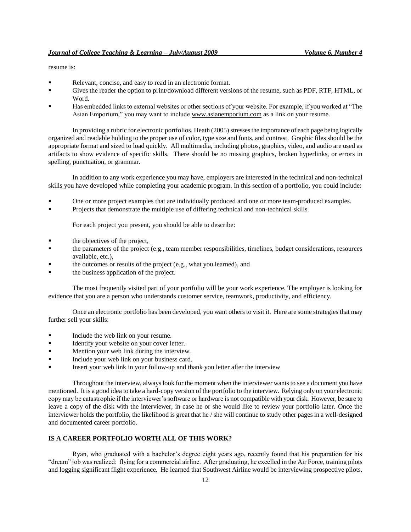# resume is:

- Relevant, concise, and easy to read in an electronic format.
- Gives the reader the option to print/download different versions of the resume, such as PDF, RTF, HTML, or Word.
- Has embedded links to external websites or other sections of your website. For example, if you worked at "The Asian Emporium," you may want to includ[e www.asianemporium.com](http://www.asianemporium.com/) as a link on your resume.

In providing a rubric for electronic portfolios, Heath (2005) stresses the importance of each page being logically organized and readable holding to the proper use of color, type size and fonts, and contrast. Graphic files should be the appropriate format and sized to load quickly. All multimedia, including photos, graphics, video, and audio are used as artifacts to show evidence of specific skills. There should be no missing graphics, broken hyperlinks, or errors in spelling, punctuation, or grammar.

In addition to any work experience you may have, employers are interested in the technical and non-technical skills you have developed while completing your academic program. In this section of a portfolio, you could include:

- One or more project examples that are individually produced and one or more team-produced examples.
- Projects that demonstrate the multiple use of differing technical and non-technical skills.

For each project you present, you should be able to describe:

- the objectives of the project,
- the parameters of the project (e.g., team member responsibilities, timelines, budget considerations, resources available, etc.),
- the outcomes or results of the project (e.g., what you learned), and
- the business application of the project.

The most frequently visited part of your portfolio will be your work experience. The employer is looking for evidence that you are a person who understands customer service, teamwork, productivity, and efficiency.

Once an electronic portfolio has been developed, you want others to visit it. Here are some strategies that may further sell your skills:

- Include the web link on your resume.
- Identify your website on your cover letter.
- Mention your web link during the interview.
- Include your web link on your business card.
- Insert your web link in your follow-up and thank you letter after the interview

Throughout the interview, always look for the moment when the interviewer wants to see a document you have mentioned. It is a good idea to take a hard-copy version of the portfolio to the interview. Relying only on your electronic copy may be catastrophic if the interviewer's software or hardware is not compatible with your disk. However, be sure to leave a copy of the disk with the interviewer, in case he or she would like to review your portfolio later. Once the interviewer holds the portfolio, the likelihood is great that he / she will continue to study other pages in a well-designed and documented career portfolio.

## **IS A CAREER PORTFOLIO WORTH ALL OF THIS WORK?**

Ryan, who graduated with a bachelor's degree eight years ago, recently found that his preparation for his "dream" job was realized: flying for a commercial airline. After graduating, he excelled in the Air Force, training pilots and logging significant flight experience. He learned that Southwest Airline would be interviewing prospective pilots.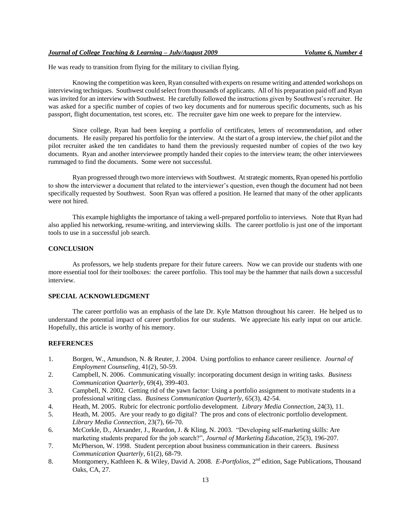He was ready to transition from flying for the military to civilian flying.

Knowing the competition was keen, Ryan consulted with experts on resume writing and attended workshops on interviewing techniques. Southwest could select from thousands of applicants. All of his preparation paid off and Ryan was invited for an interview with Southwest. He carefully followed the instructions given by Southwest's recruiter. He was asked for a specific number of copies of two key documents and for numerous specific documents, such as his passport, flight documentation, test scores, etc. The recruiter gave him one week to prepare for the interview.

Since college, Ryan had been keeping a portfolio of certificates, letters of recommendation, and other documents. He easily prepared his portfolio for the interview. At the start of a group interview, the chief pilot and the pilot recruiter asked the ten candidates to hand them the previously requested number of copies of the two key documents. Ryan and another interviewee promptly handed their copies to the interview team; the other interviewees rummaged to find the documents. Some were not successful.

Ryan progressed through two more interviews with Southwest. At strategic moments, Ryan opened his portfolio to show the interviewer a document that related to the interviewer's question, even though the document had not been specifically requested by Southwest. Soon Ryan was offered a position. He learned that many of the other applicants were not hired.

This example highlights the importance of taking a well-prepared portfolio to interviews. Note that Ryan had also applied his networking, resume-writing, and interviewing skills. The career portfolio is just one of the important tools to use in a successful job search.

## **CONCLUSION**

As professors, we help students prepare for their future careers. Now we can provide our students with one more essential tool for their toolboxes: the career portfolio. This tool may be the hammer that nails down a successful interview.

# **SPECIAL ACKNOWLEDGMENT**

The career portfolio was an emphasis of the late Dr. Kyle Mattson throughout his career. He helped us to understand the potential impact of career portfolios for our students. We appreciate his early input on our article. Hopefully, this article is worthy of his memory.

# **REFERENCES**

- 1. Borgen, W., Amundson, N. & Reuter, J. 2004. Using portfolios to enhance career resilience. *Journal of Employment Counseling*, 41(2), 50-59.
- 2. Campbell, N. 2006. Communicating visually: incorporating document design in writing tasks. *Business Communication Quarterly*, 69(4), 399-403.
- 3. Campbell, N. 2002. Getting rid of the yawn factor: Using a portfolio assignment to motivate students in a professional writing class. *Business Communication Quarterly*, 65(3), 42-54.
- 4. Heath, M. 2005. Rubric for electronic portfolio development. *Library Media Connection*, 24(3), 11.
- 5. Heath, M. 2005. Are your ready to go digital? The pros and cons of electronic portfolio development. *Library Media Connection*, 23(7), 66-70.
- 6. McCorkle, D., Alexander, J., Reardon, J. & Kling, N. 2003. "Developing self-marketing skills: Are marketing students prepared for the job search?", *Journal of Marketing Education*, 25(3), 196-207.
- 7. McPherson, W. 1998. Student perception about business communication in their careers. *Business Communication Quarterly*, 61(2), 68-79.
- 8. Montgomery, Kathleen K. & Wiley, David A. 2008*. E-Portfolios*, 2nd edition, Sage Publications, Thousand Oaks, CA, 27.